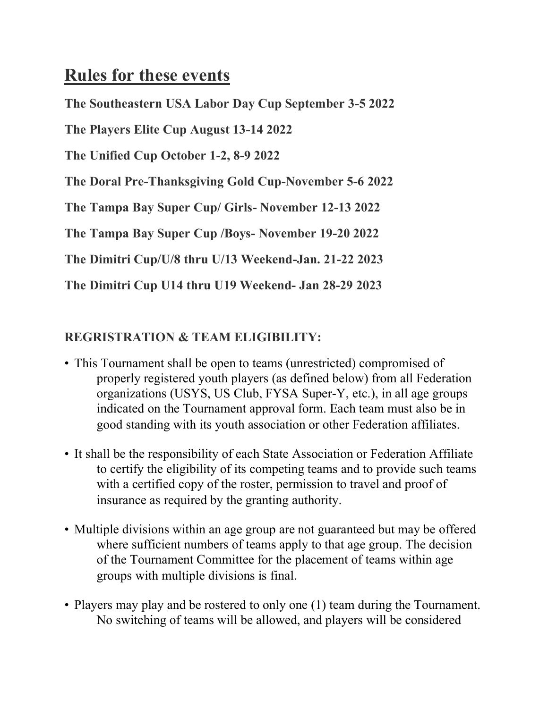# **Rules for these events**

**The Southeastern USA Labor Day Cup September 3-5 2022**

**The Players Elite Cup August 13-14 2022**

**The Unified Cup October 1-2, 8-9 2022**

**The Doral Pre-Thanksgiving Gold Cup-November 5-6 2022**

**The Tampa Bay Super Cup/ Girls- November 12-13 2022**

**The Tampa Bay Super Cup /Boys- November 19-20 2022**

**The Dimitri Cup/U/8 thru U/13 Weekend-Jan. 21-22 2023**

**The Dimitri Cup U14 thru U19 Weekend- Jan 28-29 2023**

#### **REGRISTRATION & TEAM ELIGIBILITY:**

- This Tournament shall be open to teams (unrestricted) compromised of properly registered youth players (as defined below) from all Federation organizations (USYS, US Club, FYSA Super-Y, etc.), in all age groups indicated on the Tournament approval form. Each team must also be in good standing with its youth association or other Federation affiliates.
- It shall be the responsibility of each State Association or Federation Affiliate to certify the eligibility of its competing teams and to provide such teams with a certified copy of the roster, permission to travel and proof of insurance as required by the granting authority.
- Multiple divisions within an age group are not guaranteed but may be offered where sufficient numbers of teams apply to that age group. The decision of the Tournament Committee for the placement of teams within age groups with multiple divisions is final.
- Players may play and be rostered to only one (1) team during the Tournament. No switching of teams will be allowed, and players will be considered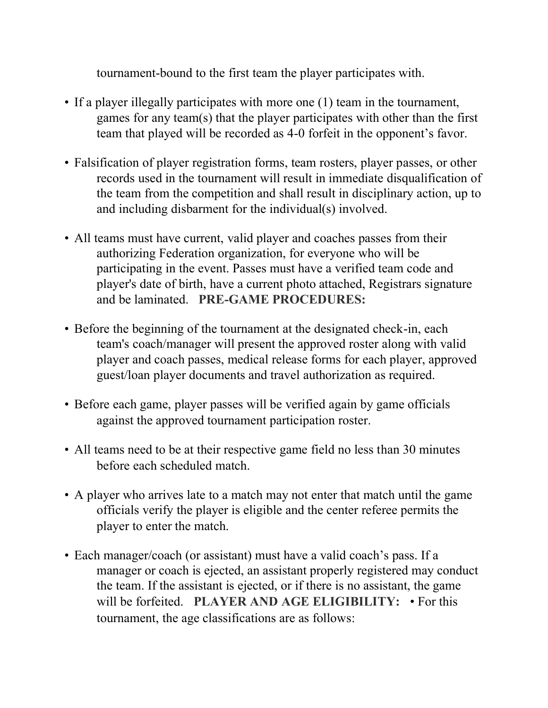tournament-bound to the first team the player participates with.

- If a player illegally participates with more one (1) team in the tournament, games for any team(s) that the player participates with other than the first team that played will be recorded as 4-0 forfeit in the opponent's favor.
- Falsification of player registration forms, team rosters, player passes, or other records used in the tournament will result in immediate disqualification of the team from the competition and shall result in disciplinary action, up to and including disbarment for the individual(s) involved.
- All teams must have current, valid player and coaches passes from their authorizing Federation organization, for everyone who will be participating in the event. Passes must have a verified team code and player's date of birth, have a current photo attached, Registrars signature and be laminated. **PRE-GAME PROCEDURES:**
- Before the beginning of the tournament at the designated check-in, each team's coach/manager will present the approved roster along with valid player and coach passes, medical release forms for each player, approved guest/loan player documents and travel authorization as required.
- Before each game, player passes will be verified again by game officials against the approved tournament participation roster.
- All teams need to be at their respective game field no less than 30 minutes before each scheduled match.
- A player who arrives late to a match may not enter that match until the game officials verify the player is eligible and the center referee permits the player to enter the match.
- Each manager/coach (or assistant) must have a valid coach's pass. If a manager or coach is ejected, an assistant properly registered may conduct the team. If the assistant is ejected, or if there is no assistant, the game will be forfeited. **PLAYER AND AGE ELIGIBILITY:** • For this tournament, the age classifications are as follows: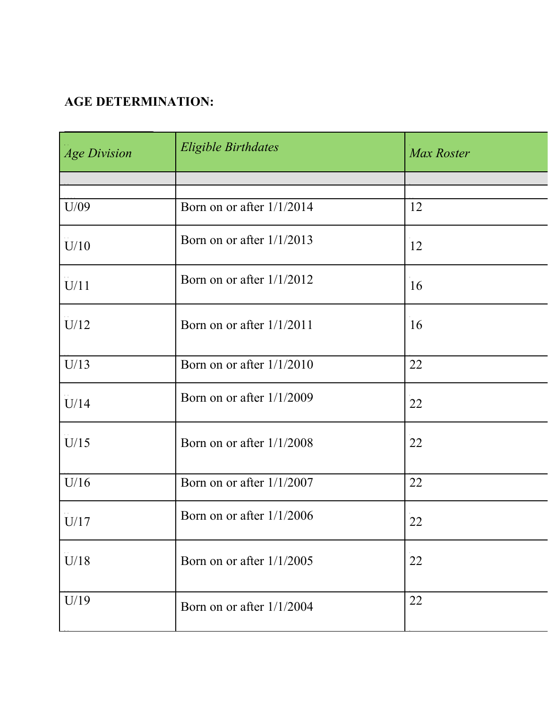#### **AGE DETERMINATION:**

| <b>Age Division</b> | <b>Eligible Birthdates</b>  | Max Roster |
|---------------------|-----------------------------|------------|
|                     |                             |            |
| U/09                | Born on or after 1/1/2014   | 12         |
| U/10                | Born on or after $1/1/2013$ | 12         |
| U/11                | Born on or after $1/1/2012$ | 16         |
| U/12                | Born on or after 1/1/2011   | 16         |
| U/13                | Born on or after $1/1/2010$ | 22         |
| U/14                | Born on or after $1/1/2009$ | 22         |
| U/15                | Born on or after 1/1/2008   | 22         |
| U/16                | Born on or after 1/1/2007   | 22         |
| U/17                | Born on or after 1/1/2006   | 22         |
| U/18                | Born on or after 1/1/2005   | 22         |
| U/19                | Born on or after 1/1/2004   | 22         |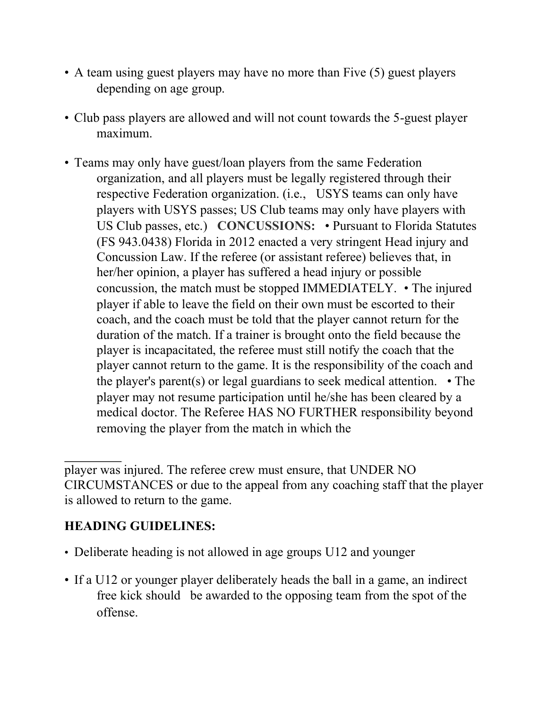- A team using guest players may have no more than Five (5) guest players depending on age group.
- Club pass players are allowed and will not count towards the 5-guest player maximum.
- Teams may only have guest/loan players from the same Federation organization, and all players must be legally registered through their respective Federation organization. (i.e., USYS teams can only have players with USYS passes; US Club teams may only have players with US Club passes, etc.) **CONCUSSIONS:** • Pursuant to Florida Statutes (FS 943.0438) Florida in 2012 enacted a very stringent Head injury and Concussion Law. If the referee (or assistant referee) believes that, in her/her opinion, a player has suffered a head injury or possible concussion, the match must be stopped IMMEDIATELY. • The injured player if able to leave the field on their own must be escorted to their coach, and the coach must be told that the player cannot return for the duration of the match. If a trainer is brought onto the field because the player is incapacitated, the referee must still notify the coach that the player cannot return to the game. It is the responsibility of the coach and the player's parent(s) or legal guardians to seek medical attention. • The player may not resume participation until he/she has been cleared by a medical doctor. The Referee HAS NO FURTHER responsibility beyond removing the player from the match in which the

## **HEADING GUIDELINES:**

- Deliberate heading is not allowed in age groups U12 and younger
- If a U12 or younger player deliberately heads the ball in a game, an indirect free kick should be awarded to the opposing team from the spot of the offense.

player was injured. The referee crew must ensure, that UNDER NO CIRCUMSTANCES or due to the appeal from any coaching staff that the player is allowed to return to the game.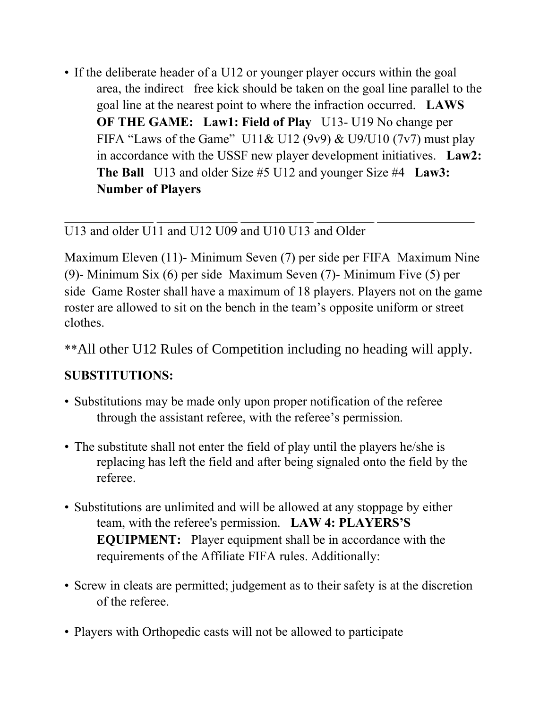• If the deliberate header of a U12 or younger player occurs within the goal area, the indirect free kick should be taken on the goal line parallel to the goal line at the nearest point to where the infraction occurred. **LAWS OF THE GAME:** Law1: Field of Play U13-U19 No change per FIFA "Laws of the Game" U11& U12 (9v9) & U9/U10 (7v7) must play in accordance with the USSF new player development initiatives. **Law2: The Ball** U13 and older Size #5 U12 and younger Size #4 **Law3: Number of Players** 

#### U13 and older U11 and U12 U09 and U10 U13 and Older

Maximum Eleven (11)- Minimum Seven (7) per side per FIFA Maximum Nine (9)- Minimum Six (6) per side Maximum Seven (7)- Minimum Five (5) per side Game Roster shall have a maximum of 18 players. Players not on the game roster are allowed to sit on the bench in the team's opposite uniform or street clothes.

\*\*All other U12 Rules of Competition including no heading will apply.

#### **SUBSTITUTIONS:**

- Substitutions may be made only upon proper notification of the referee through the assistant referee, with the referee's permission.
- The substitute shall not enter the field of play until the players he/she is replacing has left the field and after being signaled onto the field by the referee.
- Substitutions are unlimited and will be allowed at any stoppage by either team, with the referee's permission. **LAW 4: PLAYERS'S EQUIPMENT:** Player equipment shall be in accordance with the requirements of the Affiliate FIFA rules. Additionally:
- Screw in cleats are permitted; judgement as to their safety is at the discretion of the referee.
- Players with Orthopedic casts will not be allowed to participate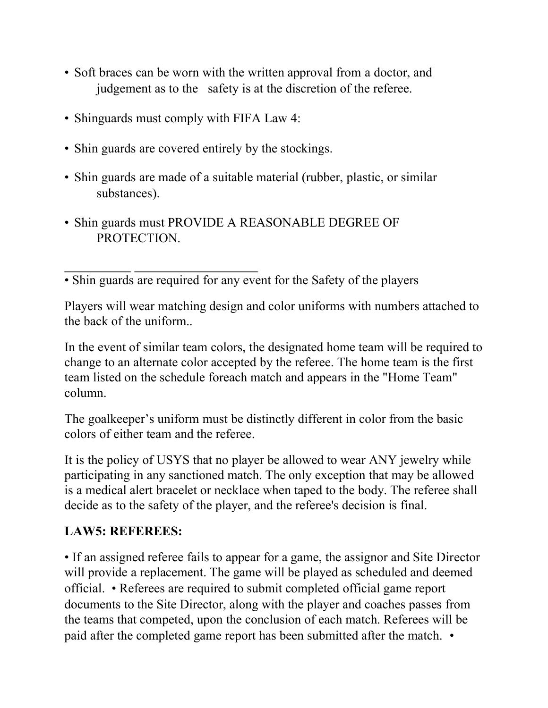- Soft braces can be worn with the written approval from a doctor, and judgement as to the safety is at the discretion of the referee.
- Shinguards must comply with FIFA Law 4:
- Shin guards are covered entirely by the stockings.
- Shin guards are made of a suitable material (rubber, plastic, or similar substances).
- Shin guards must PROVIDE A REASONABLE DEGREE OF PROTECTION.

• Shin guards are required for any event for the Safety of the players

Players will wear matching design and color uniforms with numbers attached to the back of the uniform..

In the event of similar team colors, the designated home team will be required to change to an alternate color accepted by the referee. The home team is the first team listed on the schedule foreach match and appears in the "Home Team" column.

The goalkeeper's uniform must be distinctly different in color from the basic colors of either team and the referee.

It is the policy of USYS that no player be allowed to wear ANY jewelry while participating in any sanctioned match. The only exception that may be allowed is a medical alert bracelet or necklace when taped to the body. The referee shall decide as to the safety of the player, and the referee's decision is final.

#### **LAW5: REFEREES:**

• If an assigned referee fails to appear for a game, the assignor and Site Director will provide a replacement. The game will be played as scheduled and deemed official. • Referees are required to submit completed official game report documents to the Site Director, along with the player and coaches passes from the teams that competed, upon the conclusion of each match. Referees will be paid after the completed game report has been submitted after the match. •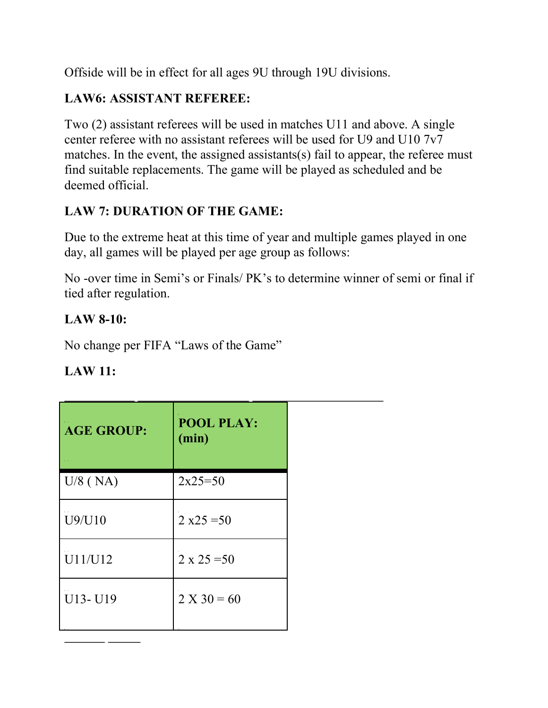Offside will be in effect for all ages 9U through 19U divisions.

## **LAW6: ASSISTANT REFEREE:**

Two (2) assistant referees will be used in matches U11 and above. A single center referee with no assistant referees will be used for U9 and U10 7v7 matches. In the event, the assigned assistants(s) fail to appear, the referee must find suitable replacements. The game will be played as scheduled and be deemed official.

## **LAW 7: DURATION OF THE GAME:**

Due to the extreme heat at this time of year and multiple games played in one day, all games will be played per age group as follows:

No -over time in Semi's or Finals/ PK's to determine winner of semi or final if tied after regulation.

# **LAW 8-10:**

No change per FIFA "Laws of the Game"

## **LAW 11:**

| <b>AGE GROUP:</b> | <b>POOL PLAY:</b><br>(min) |  |
|-------------------|----------------------------|--|
| $U/8$ (NA)        | $2x25=50$                  |  |
| U9/U10            | $2 x25 = 50$               |  |
| U11/U12           | $2 \times 25 = 50$         |  |
| U13-U19           | $2 X 30 = 60$              |  |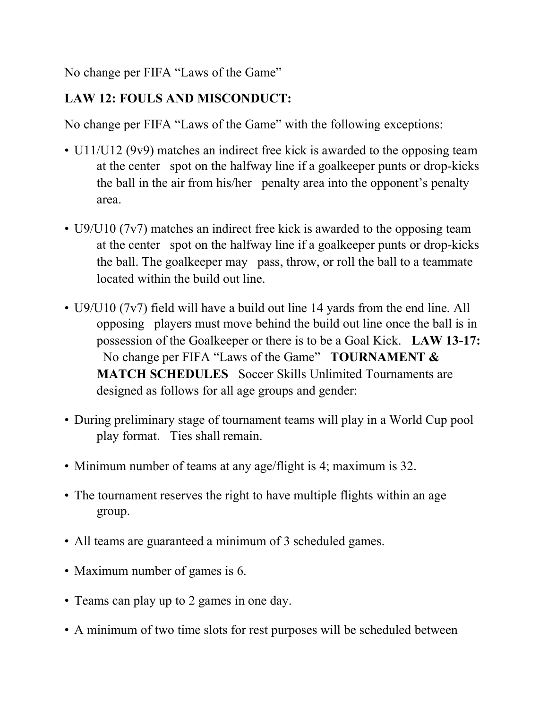No change per FIFA "Laws of the Game"

## **LAW 12: FOULS AND MISCONDUCT:**

No change per FIFA "Laws of the Game" with the following exceptions:

- U11/U12 (9v9) matches an indirect free kick is awarded to the opposing team at the center spot on the halfway line if a goalkeeper punts or drop-kicks the ball in the air from his/her penalty area into the opponent's penalty area.
- U9/U10 (7v7) matches an indirect free kick is awarded to the opposing team at the center spot on the halfway line if a goalkeeper punts or drop-kicks the ball. The goalkeeper may pass, throw, or roll the ball to a teammate located within the build out line.
- U9/U10 (7v7) field will have a build out line 14 yards from the end line. All opposing players must move behind the build out line once the ball is in possession of the Goalkeeper or there is to be a Goal Kick. **LAW 13-17:**  No change per FIFA "Laws of the Game" **TOURNAMENT & MATCH SCHEDULES** Soccer Skills Unlimited Tournaments are designed as follows for all age groups and gender:
- During preliminary stage of tournament teams will play in a World Cup pool play format. Ties shall remain.
- Minimum number of teams at any age/flight is 4; maximum is 32.
- The tournament reserves the right to have multiple flights within an age group.
- All teams are guaranteed a minimum of 3 scheduled games.
- Maximum number of games is 6.
- Teams can play up to 2 games in one day.
- A minimum of two time slots for rest purposes will be scheduled between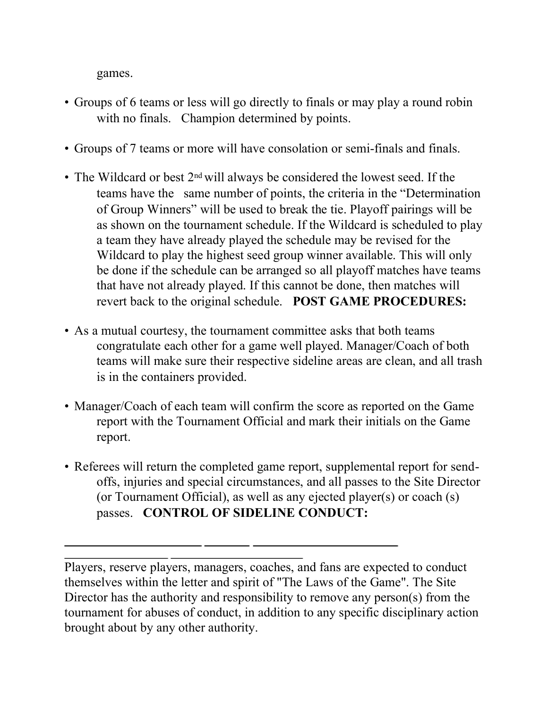games.

- Groups of 6 teams or less will go directly to finals or may play a round robin with no finals. Champion determined by points.
- Groups of 7 teams or more will have consolation or semi-finals and finals.
- The Wildcard or best 2<sup>nd</sup> will always be considered the lowest seed. If the teams have the same number of points, the criteria in the "Determination of Group Winners" will be used to break the tie. Playoff pairings will be as shown on the tournament schedule. If the Wildcard is scheduled to play a team they have already played the schedule may be revised for the Wildcard to play the highest seed group winner available. This will only be done if the schedule can be arranged so all playoff matches have teams that have not already played. If this cannot be done, then matches will revert back to the original schedule. **POST GAME PROCEDURES:**
- As a mutual courtesy, the tournament committee asks that both teams congratulate each other for a game well played. Manager/Coach of both teams will make sure their respective sideline areas are clean, and all trash is in the containers provided.
- Manager/Coach of each team will confirm the score as reported on the Game report with the Tournament Official and mark their initials on the Game report.
- Referees will return the completed game report, supplemental report for sendoffs, injuries and special circumstances, and all passes to the Site Director (or Tournament Official), as well as any ejected player(s) or coach (s) passes. **CONTROL OF SIDELINE CONDUCT:**

Players, reserve players, managers, coaches, and fans are expected to conduct themselves within the letter and spirit of "The Laws of the Game". The Site Director has the authority and responsibility to remove any person(s) from the tournament for abuses of conduct, in addition to any specific disciplinary action brought about by any other authority.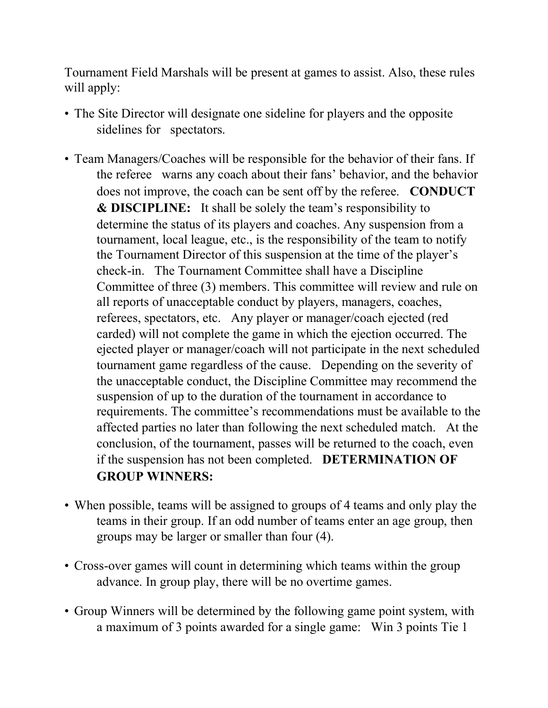Tournament Field Marshals will be present at games to assist. Also, these rules will apply:

- The Site Director will designate one sideline for players and the opposite sidelines for spectators.
- Team Managers/Coaches will be responsible for the behavior of their fans. If the referee warns any coach about their fans' behavior, and the behavior does not improve, the coach can be sent off by the referee. **CONDUCT & DISCIPLINE:** It shall be solely the team's responsibility to determine the status of its players and coaches. Any suspension from a tournament, local league, etc., is the responsibility of the team to notify the Tournament Director of this suspension at the time of the player's check-in. The Tournament Committee shall have a Discipline Committee of three (3) members. This committee will review and rule on all reports of unacceptable conduct by players, managers, coaches, referees, spectators, etc. Any player or manager/coach ejected (red carded) will not complete the game in which the ejection occurred. The ejected player or manager/coach will not participate in the next scheduled tournament game regardless of the cause. Depending on the severity of the unacceptable conduct, the Discipline Committee may recommend the suspension of up to the duration of the tournament in accordance to requirements. The committee's recommendations must be available to the affected parties no later than following the next scheduled match. At the conclusion, of the tournament, passes will be returned to the coach, even if the suspension has not been completed. **DETERMINATION OF GROUP WINNERS:**
- When possible, teams will be assigned to groups of 4 teams and only play the teams in their group. If an odd number of teams enter an age group, then groups may be larger or smaller than four (4).
- Cross-over games will count in determining which teams within the group advance. In group play, there will be no overtime games.
- Group Winners will be determined by the following game point system, with a maximum of 3 points awarded for a single game: Win 3 points Tie 1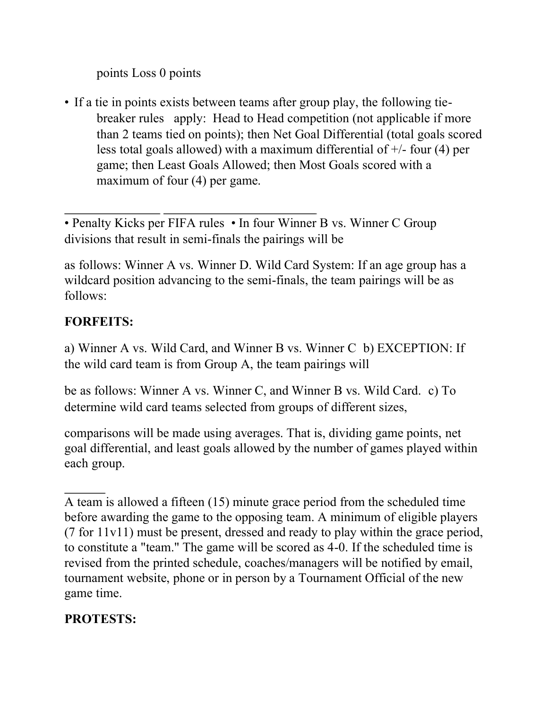points Loss 0 points

• If a tie in points exists between teams after group play, the following tiebreaker rules apply: Head to Head competition (not applicable if more than 2 teams tied on points); then Net Goal Differential (total goals scored less total goals allowed) with a maximum differential of +/- four (4) per game; then Least Goals Allowed; then Most Goals scored with a maximum of four (4) per game.

• Penalty Kicks per FIFA rules • In four Winner B vs. Winner C Group divisions that result in semi-finals the pairings will be

as follows: Winner A vs. Winner D. Wild Card System: If an age group has a wildcard position advancing to the semi-finals, the team pairings will be as follows:

## **FORFEITS:**

a) Winner A vs. Wild Card, and Winner B vs. Winner C b) EXCEPTION: If the wild card team is from Group A, the team pairings will

be as follows: Winner A vs. Winner C, and Winner B vs. Wild Card. c) To determine wild card teams selected from groups of different sizes,

comparisons will be made using averages. That is, dividing game points, net goal differential, and least goals allowed by the number of games played within each group.

# **PROTESTS:**

A team is allowed a fifteen (15) minute grace period from the scheduled time before awarding the game to the opposing team. A minimum of eligible players (7 for 11v11) must be present, dressed and ready to play within the grace period, to constitute a "team." The game will be scored as 4-0. If the scheduled time is revised from the printed schedule, coaches/managers will be notified by email, tournament website, phone or in person by a Tournament Official of the new game time.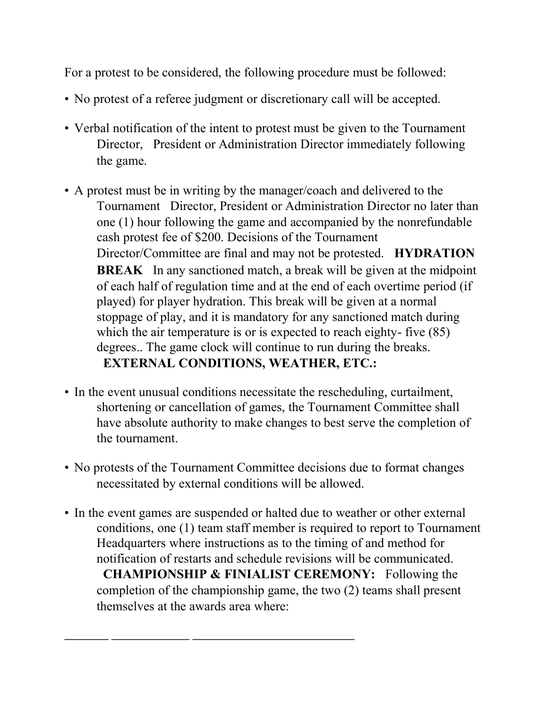For a protest to be considered, the following procedure must be followed:

- No protest of a referee judgment or discretionary call will be accepted.
- Verbal notification of the intent to protest must be given to the Tournament Director, President or Administration Director immediately following the game.
- A protest must be in writing by the manager/coach and delivered to the Tournament Director, President or Administration Director no later than one (1) hour following the game and accompanied by the nonrefundable cash protest fee of \$200. Decisions of the Tournament Director/Committee are final and may not be protested. **HYDRATION BREAK** In any sanctioned match, a break will be given at the midpoint of each half of regulation time and at the end of each overtime period (if played) for player hydration. This break will be given at a normal stoppage of play, and it is mandatory for any sanctioned match during which the air temperature is or is expected to reach eighty- five  $(85)$ degrees.. The game clock will continue to run during the breaks. **EXTERNAL CONDITIONS, WEATHER, ETC.:**
- In the event unusual conditions necessitate the rescheduling, curtailment, shortening or cancellation of games, the Tournament Committee shall have absolute authority to make changes to best serve the completion of the tournament.
- No protests of the Tournament Committee decisions due to format changes necessitated by external conditions will be allowed.
- In the event games are suspended or halted due to weather or other external conditions, one (1) team staff member is required to report to Tournament Headquarters where instructions as to the timing of and method for notification of restarts and schedule revisions will be communicated. **CHAMPIONSHIP & FINIALIST CEREMONY:** Following the completion of the championship game, the two (2) teams shall present themselves at the awards area where: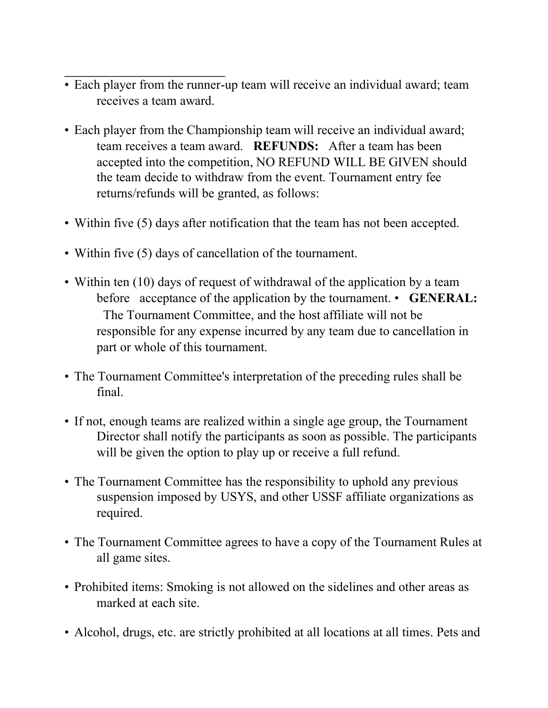- Each player from the runner-up team will receive an individual award; team receives a team award.
- Each player from the Championship team will receive an individual award; team receives a team award. **REFUNDS:** After a team has been accepted into the competition, NO REFUND WILL BE GIVEN should the team decide to withdraw from the event. Tournament entry fee returns/refunds will be granted, as follows:
- Within five (5) days after notification that the team has not been accepted.
- Within five (5) days of cancellation of the tournament.
- Within ten (10) days of request of withdrawal of the application by a team before acceptance of the application by the tournament. • **GENERAL:**  The Tournament Committee, and the host affiliate will not be responsible for any expense incurred by any team due to cancellation in part or whole of this tournament.
- The Tournament Committee's interpretation of the preceding rules shall be final.
- If not, enough teams are realized within a single age group, the Tournament Director shall notify the participants as soon as possible. The participants will be given the option to play up or receive a full refund.
- The Tournament Committee has the responsibility to uphold any previous suspension imposed by USYS, and other USSF affiliate organizations as required.
- The Tournament Committee agrees to have a copy of the Tournament Rules at all game sites.
- Prohibited items: Smoking is not allowed on the sidelines and other areas as marked at each site.
- Alcohol, drugs, etc. are strictly prohibited at all locations at all times. Pets and